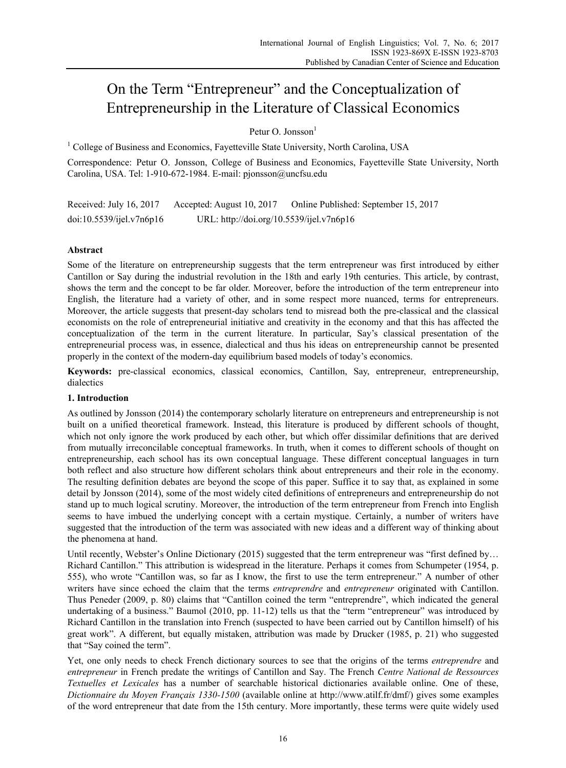# On the Term "Entrepreneur" and the Conceptualization of Entrepreneurship in the Literature of Classical Economics

Petur O. Jonsson $<sup>1</sup>$ </sup>

<sup>1</sup> College of Business and Economics, Fayetteville State University, North Carolina, USA

Correspondence: Petur O. Jonsson, College of Business and Economics, Fayetteville State University, North Carolina, USA. Tel: 1-910-672-1984. E-mail: pjonsson@uncfsu.edu

Received: July 16, 2017 Accepted: August 10, 2017 Online Published: September 15, 2017 doi:10.5539/ijel.v7n6p16 URL: http://doi.org/10.5539/ijel.v7n6p16

# **Abstract**

Some of the literature on entrepreneurship suggests that the term entrepreneur was first introduced by either Cantillon or Say during the industrial revolution in the 18th and early 19th centuries. This article, by contrast, shows the term and the concept to be far older. Moreover, before the introduction of the term entrepreneur into English, the literature had a variety of other, and in some respect more nuanced, terms for entrepreneurs. Moreover, the article suggests that present-day scholars tend to misread both the pre-classical and the classical economists on the role of entrepreneurial initiative and creativity in the economy and that this has affected the conceptualization of the term in the current literature. In particular, Say's classical presentation of the entrepreneurial process was, in essence, dialectical and thus his ideas on entrepreneurship cannot be presented properly in the context of the modern-day equilibrium based models of today's economics.

**Keywords:** pre-classical economics, classical economics, Cantillon, Say, entrepreneur, entrepreneurship, dialectics

# **1. Introduction**

As outlined by Jonsson (2014) the contemporary scholarly literature on entrepreneurs and entrepreneurship is not built on a unified theoretical framework. Instead, this literature is produced by different schools of thought, which not only ignore the work produced by each other, but which offer dissimilar definitions that are derived from mutually irreconcilable conceptual frameworks. In truth, when it comes to different schools of thought on entrepreneurship, each school has its own conceptual language. These different conceptual languages in turn both reflect and also structure how different scholars think about entrepreneurs and their role in the economy. The resulting definition debates are beyond the scope of this paper. Suffice it to say that, as explained in some detail by Jonsson (2014), some of the most widely cited definitions of entrepreneurs and entrepreneurship do not stand up to much logical scrutiny. Moreover, the introduction of the term entrepreneur from French into English seems to have imbued the underlying concept with a certain mystique. Certainly, a number of writers have suggested that the introduction of the term was associated with new ideas and a different way of thinking about the phenomena at hand.

Until recently, Webster's Online Dictionary (2015) suggested that the term entrepreneur was "first defined by... Richard Cantillon." This attribution is widespread in the literature. Perhaps it comes from Schumpeter (1954, p. 555), who wrote "Cantillon was, so far as I know, the first to use the term entrepreneur." A number of other writers have since echoed the claim that the terms *entreprendre* and *entrepreneur* originated with Cantillon. Thus Peneder (2009, p. 80) claims that "Cantillon coined the term "entreprendre", which indicated the general undertaking of a business." Baumol (2010, pp. 11-12) tells us that the "term "entrepreneur" was introduced by Richard Cantillon in the translation into French (suspected to have been carried out by Cantillon himself) of his great work". A different, but equally mistaken, attribution was made by Drucker (1985, p. 21) who suggested that "Say coined the term".

Yet, one only needs to check French dictionary sources to see that the origins of the terms *entreprendre* and *entrepreneur* in French predate the writings of Cantillon and Say. The French *Centre National de Ressources Textuelles et Lexicales* has a number of searchable historical dictionaries available online. One of these, *Dictionnaire du Moyen Français 1330-1500* (available online at http://www.atilf.fr/dmf/) gives some examples of the word entrepreneur that date from the 15th century. More importantly, these terms were quite widely used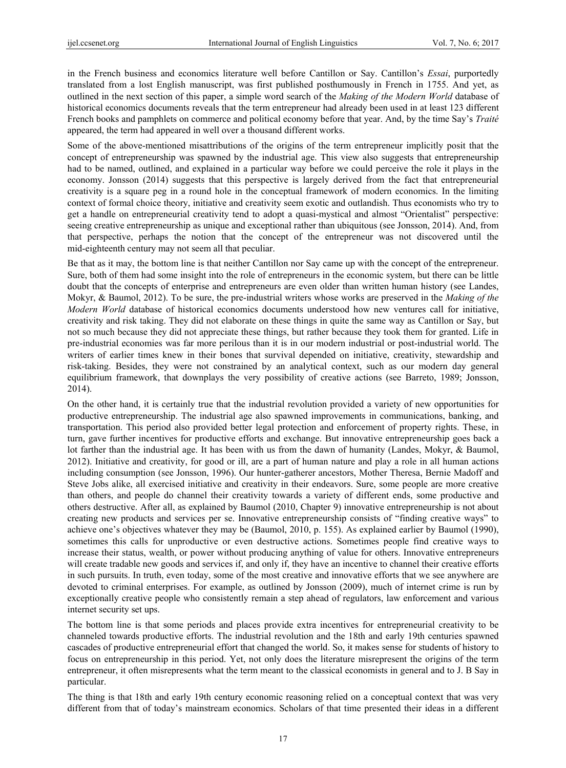in the French business and economics literature well before Cantillon or Say. Cantillon's *Essai*, purportedly translated from a lost English manuscript, was first published posthumously in French in 1755. And yet, as outlined in the next section of this paper, a simple word search of the *Making of the Modern World* database of historical economics documents reveals that the term entrepreneur had already been used in at least 123 different French books and pamphlets on commerce and political economy before that year. And, by the time Say's *Traité* appeared, the term had appeared in well over a thousand different works.

Some of the above-mentioned misattributions of the origins of the term entrepreneur implicitly posit that the concept of entrepreneurship was spawned by the industrial age. This view also suggests that entrepreneurship had to be named, outlined, and explained in a particular way before we could perceive the role it plays in the economy. Jonsson (2014) suggests that this perspective is largely derived from the fact that entrepreneurial creativity is a square peg in a round hole in the conceptual framework of modern economics. In the limiting context of formal choice theory, initiative and creativity seem exotic and outlandish. Thus economists who try to get a handle on entrepreneurial creativity tend to adopt a quasi-mystical and almost "Orientalist" perspective: seeing creative entrepreneurship as unique and exceptional rather than ubiquitous (see Jonsson, 2014). And, from that perspective, perhaps the notion that the concept of the entrepreneur was not discovered until the mid-eighteenth century may not seem all that peculiar.

Be that as it may, the bottom line is that neither Cantillon nor Say came up with the concept of the entrepreneur. Sure, both of them had some insight into the role of entrepreneurs in the economic system, but there can be little doubt that the concepts of enterprise and entrepreneurs are even older than written human history (see Landes, Mokyr, & Baumol, 2012). To be sure, the pre-industrial writers whose works are preserved in the *Making of the Modern World* database of historical economics documents understood how new ventures call for initiative, creativity and risk taking. They did not elaborate on these things in quite the same way as Cantillon or Say, but not so much because they did not appreciate these things, but rather because they took them for granted. Life in pre-industrial economies was far more perilous than it is in our modern industrial or post-industrial world. The writers of earlier times knew in their bones that survival depended on initiative, creativity, stewardship and risk-taking. Besides, they were not constrained by an analytical context, such as our modern day general equilibrium framework, that downplays the very possibility of creative actions (see Barreto, 1989; Jonsson, 2014).

On the other hand, it is certainly true that the industrial revolution provided a variety of new opportunities for productive entrepreneurship. The industrial age also spawned improvements in communications, banking, and transportation. This period also provided better legal protection and enforcement of property rights. These, in turn, gave further incentives for productive efforts and exchange. But innovative entrepreneurship goes back a lot farther than the industrial age. It has been with us from the dawn of humanity (Landes, Mokyr, & Baumol, 2012). Initiative and creativity, for good or ill, are a part of human nature and play a role in all human actions including consumption (see Jonsson, 1996). Our hunter-gatherer ancestors, Mother Theresa, Bernie Madoff and Steve Jobs alike, all exercised initiative and creativity in their endeavors. Sure, some people are more creative than others, and people do channel their creativity towards a variety of different ends, some productive and others destructive. After all, as explained by Baumol (2010, Chapter 9) innovative entrepreneurship is not about creating new products and services per se. Innovative entrepreneurship consists of "finding creative ways" to achieve one's objectives whatever they may be (Baumol, 2010, p. 155). As explained earlier by Baumol (1990), sometimes this calls for unproductive or even destructive actions. Sometimes people find creative ways to increase their status, wealth, or power without producing anything of value for others. Innovative entrepreneurs will create tradable new goods and services if, and only if, they have an incentive to channel their creative efforts in such pursuits. In truth, even today, some of the most creative and innovative efforts that we see anywhere are devoted to criminal enterprises. For example, as outlined by Jonsson (2009), much of internet crime is run by exceptionally creative people who consistently remain a step ahead of regulators, law enforcement and various internet security set ups.

The bottom line is that some periods and places provide extra incentives for entrepreneurial creativity to be channeled towards productive efforts. The industrial revolution and the 18th and early 19th centuries spawned cascades of productive entrepreneurial effort that changed the world. So, it makes sense for students of history to focus on entrepreneurship in this period. Yet, not only does the literature misrepresent the origins of the term entrepreneur, it often misrepresents what the term meant to the classical economists in general and to J. B Say in particular.

The thing is that 18th and early 19th century economic reasoning relied on a conceptual context that was very different from that of today's mainstream economics. Scholars of that time presented their ideas in a different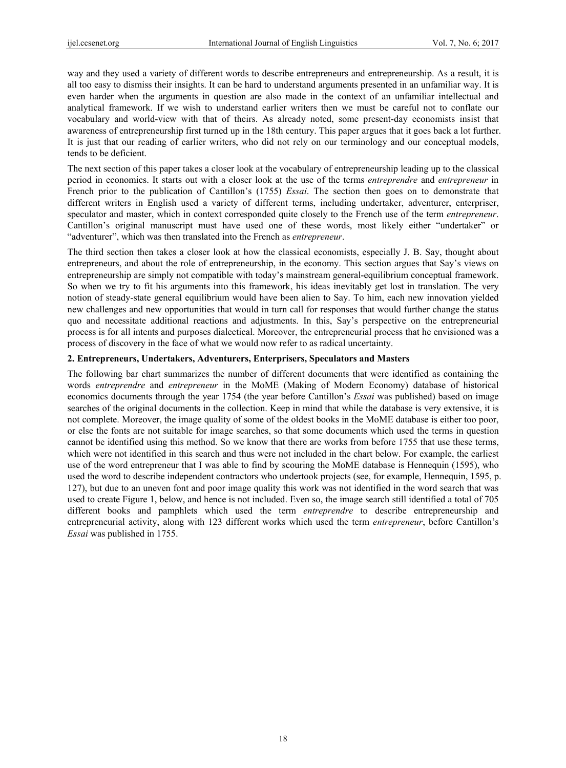way and they used a variety of different words to describe entrepreneurs and entrepreneurship. As a result, it is all too easy to dismiss their insights. It can be hard to understand arguments presented in an unfamiliar way. It is even harder when the arguments in question are also made in the context of an unfamiliar intellectual and analytical framework. If we wish to understand earlier writers then we must be careful not to conflate our vocabulary and world-view with that of theirs. As already noted, some present-day economists insist that awareness of entrepreneurship first turned up in the 18th century. This paper argues that it goes back a lot further. It is just that our reading of earlier writers, who did not rely on our terminology and our conceptual models, tends to be deficient.

The next section of this paper takes a closer look at the vocabulary of entrepreneurship leading up to the classical period in economics. It starts out with a closer look at the use of the terms *entreprendre* and *entrepreneur* in French prior to the publication of Cantillon's (1755) *Essai*. The section then goes on to demonstrate that different writers in English used a variety of different terms, including undertaker, adventurer, enterpriser, speculator and master, which in context corresponded quite closely to the French use of the term *entrepreneur*. Cantillon's original manuscript must have used one of these words, most likely either "undertaker" or "adventurer", which was then translated into the French as *entrepreneur*.

The third section then takes a closer look at how the classical economists, especially J. B. Say, thought about entrepreneurs, and about the role of entrepreneurship, in the economy. This section argues that Say's views on entrepreneurship are simply not compatible with today's mainstream general-equilibrium conceptual framework. So when we try to fit his arguments into this framework, his ideas inevitably get lost in translation. The very notion of steady-state general equilibrium would have been alien to Say. To him, each new innovation yielded new challenges and new opportunities that would in turn call for responses that would further change the status quo and necessitate additional reactions and adjustments. In this, Say's perspective on the entrepreneurial process is for all intents and purposes dialectical. Moreover, the entrepreneurial process that he envisioned was a process of discovery in the face of what we would now refer to as radical uncertainty.

#### **2. Entrepreneurs, Undertakers, Adventurers, Enterprisers, Speculators and Masters**

The following bar chart summarizes the number of different documents that were identified as containing the words *entreprendre* and *entrepreneur* in the MoME (Making of Modern Economy) database of historical economics documents through the year 1754 (the year before Cantillon's *Essai* was published) based on image searches of the original documents in the collection. Keep in mind that while the database is very extensive, it is not complete. Moreover, the image quality of some of the oldest books in the MoME database is either too poor, or else the fonts are not suitable for image searches, so that some documents which used the terms in question cannot be identified using this method. So we know that there are works from before 1755 that use these terms, which were not identified in this search and thus were not included in the chart below. For example, the earliest use of the word entrepreneur that I was able to find by scouring the MoME database is Hennequin (1595), who used the word to describe independent contractors who undertook projects (see, for example, Hennequin, 1595, p. 127), but due to an uneven font and poor image quality this work was not identified in the word search that was used to create Figure 1, below, and hence is not included. Even so, the image search still identified a total of 705 different books and pamphlets which used the term *entreprendre* to describe entrepreneurship and entrepreneurial activity, along with 123 different works which used the term *entrepreneur*, before Cantillon's *Essai* was published in 1755.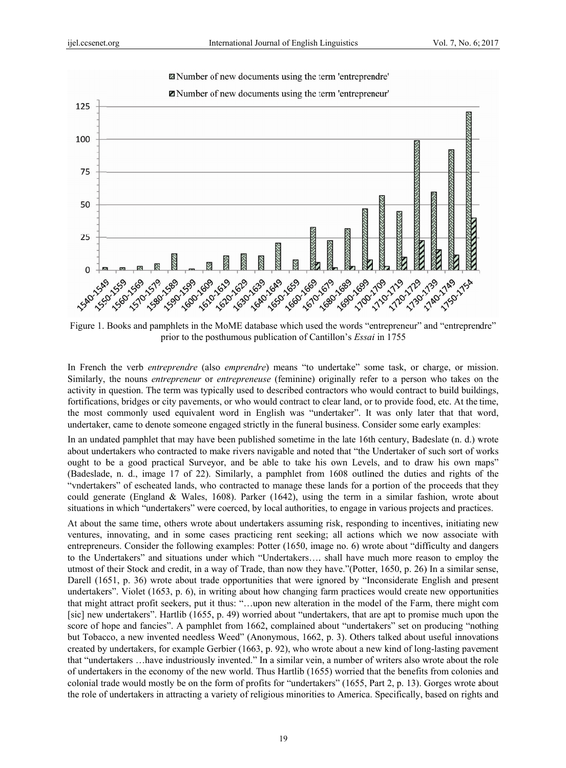

Figure 1. Books and pamphlets in the MoME database which used the words "entrepreneur" and "entreprendre" prior to the posthumous publication of Cantillon's *Essai* in 1755

In French the verb *entreprendre* (also *emprendre*) means "to undertake" some task, or charge, or mission. Similarly, the nouns *entrepreneur* or *entrepreneuse* (feminine) originally refer to a person who takes on the activity in question. The term was typically used to described contractors who would contract to build buildings, fortifications, bridges or city pavements, or who would contract to clear land, or to provide food, etc. At the time, the most commonly used equivalent word in English was "undertaker". It was only later that that word, undertaker, came to denote someone engaged strictly in the funeral business. Consider some early examples:

In an undated pamphlet that may have been published sometime in the late 16th century, Badeslate (n. d.) wrote about undertakers who contracted to make rivers navigable and noted that "the Undertaker of such sort of works ought to be a good practical Surveyor, and be able to take his own Levels, and to draw his own maps" (Badeslade, n. d., image 17 of 22). Similarly, a pamphlet from 1608 outlined the duties and rights of the "vndertakers" of escheated lands, who contracted to manage these lands for a portion of the proceeds that they could generate (England & Wales, 1608). Parker (1642), using the term in a similar fashion, wrote about situations in which "undertakers" were coerced, by local authorities, to engage in various projects and practices.

At about the same time, others wrote about undertakers assuming risk, responding to incentives, initiating new ventures, innovating, and in some cases practicing rent seeking; all actions which we now associate with entrepreneurs. Consider the following examples: Potter (1650, image no. 6) wrote about "difficulty and dangers to the Undertakers" and situations under which "Undertakers.... shall have much more reason to employ the utmost of their Stock and credit, in a way of Trade, than now they have."(Potter, 1650, p. 26) In a similar sense, Darell (1651, p. 36) wrote about trade opportunities that were ignored by "Inconsiderate English and present undertakers". Violet (1653, p. 6), in writing about how changing farm practices would create new opportunities that might attract profit seekers, put it thus: "...upon new alteration in the model of the Farm, there might com [sic] new undertakers". Hartlib (1655, p. 49) worried about "undertakers, that are apt to promise much upon the score of hope and fancies". A pamphlet from 1662, complained about "undertakers" set on producing "nothing but Tobacco, a new invented needless Weed" (Anonymous, 1662, p. 3). Others talked about useful innovations created by undertakers, for example Gerbier (1663, p. 92), who wrote about a new kind of long-lasting pavement that "undertakers ... have industriously invented." In a similar vein, a number of writers also wrote about the role of undertakers in the economy of the new world. Thus Hartlib (1655) worried that the benefits from colonies and colonial trade would mostly be on the form of profits for "undertakers" (1655, Part 2, p. 13). Gorges wrote about the role of undertakers in attracting a variety of religious minorities to America. Specifically, based on rights and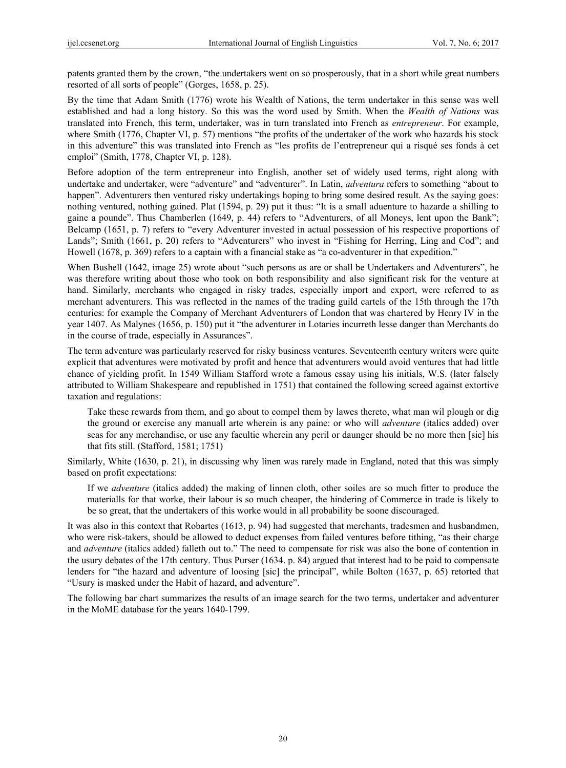patents granted them by the crown, "the undertakers went on so prosperously, that in a short while great numbers resorted of all sorts of people" (Gorges, 1658, p. 25).

By the time that Adam Smith (1776) wrote his Wealth of Nations, the term undertaker in this sense was well established and had a long history. So this was the word used by Smith. When the *Wealth of Nations* was translated into French, this term, undertaker, was in turn translated into French as *entrepreneur*. For example, where Smith (1776, Chapter VI, p. 57) mentions "the profits of the undertaker of the work who hazards his stock in this adventure" this was translated into French as "les profits de l'entrepreneur qui a risqué ses fonds à cet emploi" (Smith, 1778, Chapter VI, p. 128).

Before adoption of the term entrepreneur into English, another set of widely used terms, right along with undertake and undertaker, were "adventure" and "adventurer". In Latin, *adventura* refers to something "about to happen". Adventurers then ventured risky undertakings hoping to bring some desired result. As the saying goes: nothing ventured, nothing gained. Plat (1594, p. 29) put it thus: "It is a small aduenture to hazarde a shilling to gaine a pounde". Thus Chamberlen (1649, p. 44) refers to "Adventurers, of all Moneys, lent upon the Bank"; Belcamp (1651, p. 7) refers to "every Adventurer invested in actual possession of his respective proportions of Lands"; Smith (1661, p. 20) refers to "Adventurers" who invest in "Fishing for Herring, Ling and Cod"; and Howell (1678, p. 369) refers to a captain with a financial stake as "a co-adventurer in that expedition."

When Bushell (1642, image 25) wrote about "such persons as are or shall be Undertakers and Adventurers", he was therefore writing about those who took on both responsibility and also significant risk for the venture at hand. Similarly, merchants who engaged in risky trades, especially import and export, were referred to as merchant adventurers. This was reflected in the names of the trading guild cartels of the 15th through the 17th centuries: for example the Company of Merchant Adventurers of London that was chartered by Henry IV in the year 1407. As Malynes (1656, p. 150) put it "the adventurer in Lotaries incurreth lesse danger than Merchants do in the course of trade, especially in Assurances".

The term adventure was particularly reserved for risky business ventures. Seventeenth century writers were quite explicit that adventures were motivated by profit and hence that adventurers would avoid ventures that had little chance of yielding profit. In 1549 William Stafford wrote a famous essay using his initials, W.S. (later falsely attributed to William Shakespeare and republished in 1751) that contained the following screed against extortive taxation and regulations:

Take these rewards from them, and go about to compel them by lawes thereto, what man wil plough or dig the ground or exercise any manuall arte wherein is any paine: or who will *adventure* (italics added) over seas for any merchandise, or use any facultie wherein any peril or daunger should be no more then [sic] his that fits still. (Stafford, 1581; 1751)

Similarly, White (1630, p. 21), in discussing why linen was rarely made in England, noted that this was simply based on profit expectations:

If we *adventure* (italics added) the making of linnen cloth, other soiles are so much fitter to produce the materialls for that worke, their labour is so much cheaper, the hindering of Commerce in trade is likely to be so great, that the undertakers of this worke would in all probability be soone discouraged.

It was also in this context that Robartes (1613, p. 94) had suggested that merchants, tradesmen and husbandmen, who were risk-takers, should be allowed to deduct expenses from failed ventures before tithing, "as their charge and *adventure* (italics added) falleth out to." The need to compensate for risk was also the bone of contention in the usury debates of the 17th century. Thus Purser (1634. p. 84) argued that interest had to be paid to compensate lenders for "the hazard and adventure of loosing [sic] the principal", while Bolton (1637, p. 65) retorted that "Usury is masked under the Habit of hazard, and adventure".

The following bar chart summarizes the results of an image search for the two terms, undertaker and adventurer in the MoME database for the years 1640-1799.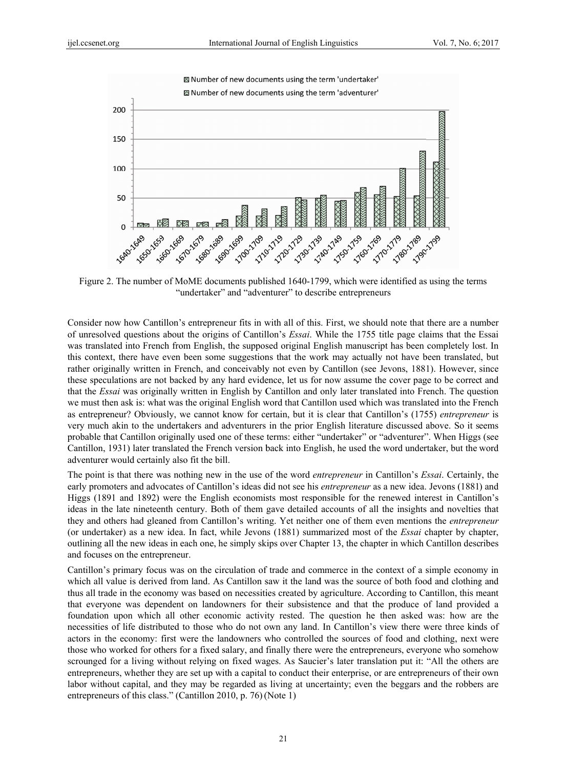

Figure 2. The number of MoME documents published 1640-1799, which were identified as using the terms "undertaker" and "adventurer" to describe entrepreneurs

Consider now how Cantillon's entrepreneur fits in with all of this. First, we should note that there are a number of unresolved questions about the origins of Cantillon's *Essai*. While the 1755 title page claims that the Essai was translated into French from English, the supposed original English manuscript has been completely lost. In this context, there have even been some suggestions that the work may actually not have been translated, but rather originally written in French, and conceivably not even by Cantillon (see Jevons, 1881). However, since these speculations are not backed by any hard evidence, let us for now assume the cover page to be correct and that the *Essai* was originally written in English by Cantillon and only later translated into French. The question we must then ask is: what was the original English word that Cantillon used which was translated into the French as entrepreneur? Obviously, we cannot know for certain, but it is clear that Cantillon's (1755) *entrepreneur* is very much akin to the undertakers and adventurers in the prior English literature discussed above. So it seems probable that Cantillon originally used one of these terms: either "undertaker" or "adventurer". When Higgs (see Cantillon, 1931) later translated the French version back into English, he used the word undertaker, but the word adventurer would certainly also fit the bill.

The point is that there was nothing new in the use of the word *entrepreneur* in Cantillon's *Essai*. Certainly, the early promoters and advocates of Cantillon's ideas did not see his *entrepreneur* as a new idea. Jevons (1881) and Higgs (1891 and 1892) were the English economists most responsible for the renewed interest in Cantillon's ideas in the late nineteenth century. Both of them gave detailed accounts of all the insights and novelties that they and others had gleaned from Cantillon's writing. Yet neither one of them even mentions the *entrepreneur* (or undertaker) as a new idea. In fact, while Jevons (1881) summarized most of the *Essai* chapter by chapter, outlining all the new ideas in each one, he simply skips over Chapter 13, the chapter in which Cantillon describes and focuses on the entrepreneur.

Cantillon's primary focus was on the circulation of trade and commerce in the context of a simple economy in which all value is derived from land. As Cantillon saw it the land was the source of both food and clothing and thus all trade in the economy was based on necessities created by agriculture. According to Cantillon, this meant that everyone was dependent on landowners for their subsistence and that the produce of land provided a foundation upon which all other economic activity rested. The question he then asked was: how are the necessities of life distributed to those who do not own any land. In Cantillon's view there were three kinds of actors in the economy: first were the landowners who controlled the sources of food and clothing, next were those who worked for others for a fixed salary, and finally there were the entrepreneurs, everyone who somehow scrounged for a living without relying on fixed wages. As Saucier's later translation put it: "All the others are entrepreneurs, whether they are set up with a capital to conduct their enterprise, or are entrepreneurs of their own labor without capital, and they may be regarded as living at uncertainty; even the beggars and the robbers are entrepreneurs of this class." (Cantillon 2010, p. 76) (Note 1)

21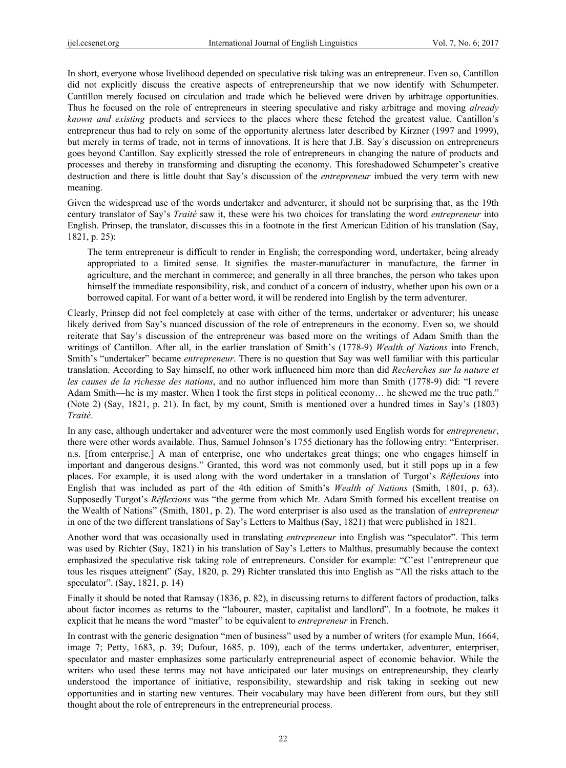In short, everyone whose livelihood depended on speculative risk taking was an entrepreneur. Even so, Cantillon did not explicitly discuss the creative aspects of entrepreneurship that we now identify with Schumpeter. Cantillon merely focused on circulation and trade which he believed were driven by arbitrage opportunities. Thus he focused on the role of entrepreneurs in steering speculative and risky arbitrage and moving *already known and existing* products and services to the places where these fetched the greatest value. Cantillon's entrepreneur thus had to rely on some of the opportunity alertness later described by Kirzner (1997 and 1999), but merely in terms of trade, not in terms of innovations. It is here that J.B. Say´s discussion on entrepreneurs goes beyond Cantillon. Say explicitly stressed the role of entrepreneurs in changing the nature of products and processes and thereby in transforming and disrupting the economy. This foreshadowed Schumpeter's creative destruction and there is little doubt that Say's discussion of the *entrepreneur* imbued the very term with new meaning.

Given the widespread use of the words undertaker and adventurer, it should not be surprising that, as the 19th century translator of Say's *Traité* saw it, these were his two choices for translating the word *entrepreneur* into English. Prinsep, the translator, discusses this in a footnote in the first American Edition of his translation (Say, 1821, p. 25):

The term entrepreneur is difficult to render in English; the corresponding word, undertaker, being already appropriated to a limited sense. It signifies the master-manufacturer in manufacture, the farmer in agriculture, and the merchant in commerce; and generally in all three branches, the person who takes upon himself the immediate responsibility, risk, and conduct of a concern of industry, whether upon his own or a borrowed capital. For want of a better word, it will be rendered into English by the term adventurer.

Clearly, Prinsep did not feel completely at ease with either of the terms, undertaker or adventurer; his unease likely derived from Say's nuanced discussion of the role of entrepreneurs in the economy. Even so, we should reiterate that Say's discussion of the entrepreneur was based more on the writings of Adam Smith than the writings of Cantillon. After all, in the earlier translation of Smith's (1778-9) *Wealth of Nations* into French, Smith's "undertaker" became *entrepreneur*. There is no question that Say was well familiar with this particular translation. According to Say himself, no other work influenced him more than did *Recherches sur la nature et les causes de la richesse des nations*, and no author influenced him more than Smith (1778-9) did: "I revere Adam Smith—he is my master. When I took the first steps in political economy… he shewed me the true path." (Note 2) (Say, 1821, p. 21). In fact, by my count, Smith is mentioned over a hundred times in Say's (1803) *Traité*.

In any case, although undertaker and adventurer were the most commonly used English words for *entrepreneur*, there were other words available. Thus, Samuel Johnson's 1755 dictionary has the following entry: "Enterpriser. n.s. [from enterprise.] A man of enterprise, one who undertakes great things; one who engages himself in important and dangerous designs." Granted, this word was not commonly used, but it still pops up in a few places. For example, it is used along with the word undertaker in a translation of Turgot's *Réflexions* into English that was included as part of the 4th edition of Smith's *Wealth of Nations* (Smith, 1801, p. 63). Supposedly Turgot's *Réflexions* was "the germe from which Mr. Adam Smith formed his excellent treatise on the Wealth of Nations" (Smith, 1801, p. 2). The word enterpriser is also used as the translation of *entrepreneur* in one of the two different translations of Say's Letters to Malthus (Say, 1821) that were published in 1821.

Another word that was occasionally used in translating *entrepreneur* into English was "speculator". This term was used by Richter (Say, 1821) in his translation of Say's Letters to Malthus, presumably because the context emphasized the speculative risk taking role of entrepreneurs. Consider for example: "C'est l'entrepreneur que tous les risques atteignent" (Say, 1820, p. 29) Richter translated this into English as "All the risks attach to the speculator". (Say, 1821, p. 14)

Finally it should be noted that Ramsay (1836, p. 82), in discussing returns to different factors of production, talks about factor incomes as returns to the "labourer, master, capitalist and landlord". In a footnote, he makes it explicit that he means the word "master" to be equivalent to *entrepreneur* in French.

In contrast with the generic designation "men of business" used by a number of writers (for example Mun, 1664, image 7; Petty, 1683, p. 39; Dufour, 1685, p. 109), each of the terms undertaker, adventurer, enterpriser, speculator and master emphasizes some particularly entrepreneurial aspect of economic behavior. While the writers who used these terms may not have anticipated our later musings on entrepreneurship, they clearly understood the importance of initiative, responsibility, stewardship and risk taking in seeking out new opportunities and in starting new ventures. Their vocabulary may have been different from ours, but they still thought about the role of entrepreneurs in the entrepreneurial process.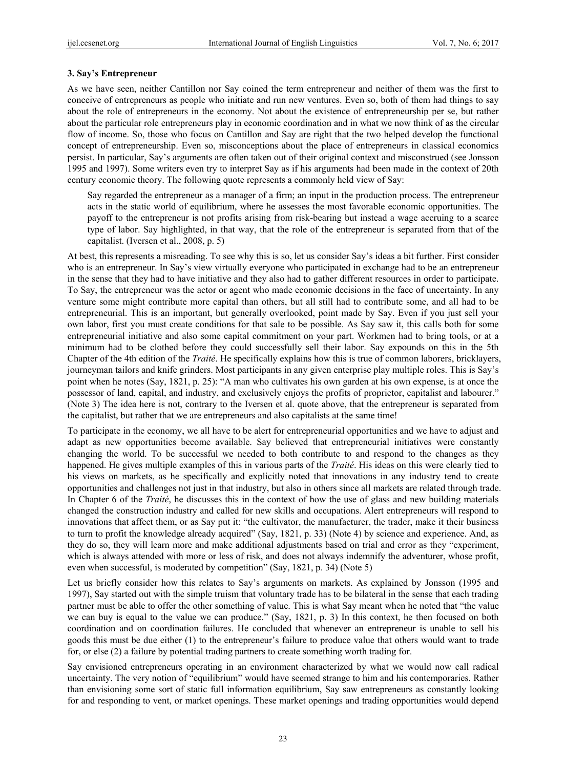#### **3. Say's Entrepreneur**

As we have seen, neither Cantillon nor Say coined the term entrepreneur and neither of them was the first to conceive of entrepreneurs as people who initiate and run new ventures. Even so, both of them had things to say about the role of entrepreneurs in the economy. Not about the existence of entrepreneurship per se, but rather about the particular role entrepreneurs play in economic coordination and in what we now think of as the circular flow of income. So, those who focus on Cantillon and Say are right that the two helped develop the functional concept of entrepreneurship. Even so, misconceptions about the place of entrepreneurs in classical economics persist. In particular, Say's arguments are often taken out of their original context and misconstrued (see Jonsson 1995 and 1997). Some writers even try to interpret Say as if his arguments had been made in the context of 20th century economic theory. The following quote represents a commonly held view of Say:

Say regarded the entrepreneur as a manager of a firm; an input in the production process. The entrepreneur acts in the static world of equilibrium, where he assesses the most favorable economic opportunities. The payoff to the entrepreneur is not profits arising from risk-bearing but instead a wage accruing to a scarce type of labor. Say highlighted, in that way, that the role of the entrepreneur is separated from that of the capitalist. (Iversen et al., 2008, p. 5)

At best, this represents a misreading. To see why this is so, let us consider Say's ideas a bit further. First consider who is an entrepreneur. In Say's view virtually everyone who participated in exchange had to be an entrepreneur in the sense that they had to have initiative and they also had to gather different resources in order to participate. To Say, the entrepreneur was the actor or agent who made economic decisions in the face of uncertainty. In any venture some might contribute more capital than others, but all still had to contribute some, and all had to be entrepreneurial. This is an important, but generally overlooked, point made by Say. Even if you just sell your own labor, first you must create conditions for that sale to be possible. As Say saw it, this calls both for some entrepreneurial initiative and also some capital commitment on your part. Workmen had to bring tools, or at a minimum had to be clothed before they could successfully sell their labor. Say expounds on this in the 5th Chapter of the 4th edition of the *Traité*. He specifically explains how this is true of common laborers, bricklayers, journeyman tailors and knife grinders. Most participants in any given enterprise play multiple roles. This is Say's point when he notes (Say, 1821, p. 25): "A man who cultivates his own garden at his own expense, is at once the possessor of land, capital, and industry, and exclusively enjoys the profits of proprietor, capitalist and labourer." (Note 3) The idea here is not, contrary to the Iversen et al. quote above, that the entrepreneur is separated from the capitalist, but rather that we are entrepreneurs and also capitalists at the same time!

To participate in the economy, we all have to be alert for entrepreneurial opportunities and we have to adjust and adapt as new opportunities become available. Say believed that entrepreneurial initiatives were constantly changing the world. To be successful we needed to both contribute to and respond to the changes as they happened. He gives multiple examples of this in various parts of the *Traité*. His ideas on this were clearly tied to his views on markets, as he specifically and explicitly noted that innovations in any industry tend to create opportunities and challenges not just in that industry, but also in others since all markets are related through trade. In Chapter 6 of the *Traité*, he discusses this in the context of how the use of glass and new building materials changed the construction industry and called for new skills and occupations. Alert entrepreneurs will respond to innovations that affect them, or as Say put it: "the cultivator, the manufacturer, the trader, make it their business to turn to profit the knowledge already acquired" (Say, 1821, p. 33) (Note 4) by science and experience. And, as they do so, they will learn more and make additional adjustments based on trial and error as they "experiment, which is always attended with more or less of risk, and does not always indemnify the adventurer, whose profit, even when successful, is moderated by competition" (Say, 1821, p. 34) (Note 5)

Let us briefly consider how this relates to Say's arguments on markets. As explained by Jonsson (1995 and 1997), Say started out with the simple truism that voluntary trade has to be bilateral in the sense that each trading partner must be able to offer the other something of value. This is what Say meant when he noted that "the value we can buy is equal to the value we can produce." (Say, 1821, p. 3) In this context, he then focused on both coordination and on coordination failures. He concluded that whenever an entrepreneur is unable to sell his goods this must be due either (1) to the entrepreneur's failure to produce value that others would want to trade for, or else (2) a failure by potential trading partners to create something worth trading for.

Say envisioned entrepreneurs operating in an environment characterized by what we would now call radical uncertainty. The very notion of "equilibrium" would have seemed strange to him and his contemporaries. Rather than envisioning some sort of static full information equilibrium, Say saw entrepreneurs as constantly looking for and responding to vent, or market openings. These market openings and trading opportunities would depend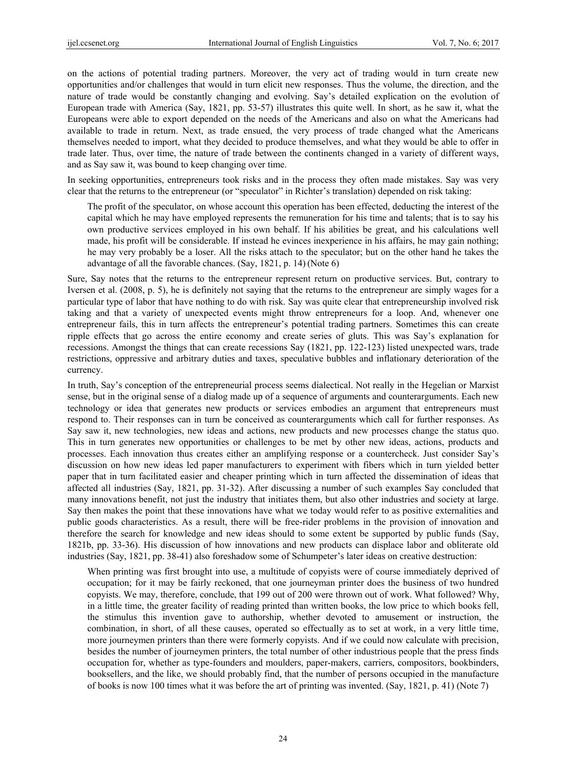on the actions of potential trading partners. Moreover, the very act of trading would in turn create new opportunities and/or challenges that would in turn elicit new responses. Thus the volume, the direction, and the nature of trade would be constantly changing and evolving. Say's detailed explication on the evolution of European trade with America (Say, 1821, pp. 53-57) illustrates this quite well. In short, as he saw it, what the Europeans were able to export depended on the needs of the Americans and also on what the Americans had available to trade in return. Next, as trade ensued, the very process of trade changed what the Americans themselves needed to import, what they decided to produce themselves, and what they would be able to offer in trade later. Thus, over time, the nature of trade between the continents changed in a variety of different ways, and as Say saw it, was bound to keep changing over time.

In seeking opportunities, entrepreneurs took risks and in the process they often made mistakes. Say was very clear that the returns to the entrepreneur (or "speculator" in Richter's translation) depended on risk taking:

The profit of the speculator, on whose account this operation has been effected, deducting the interest of the capital which he may have employed represents the remuneration for his time and talents; that is to say his own productive services employed in his own behalf. If his abilities be great, and his calculations well made, his profit will be considerable. If instead he evinces inexperience in his affairs, he may gain nothing; he may very probably be a loser. All the risks attach to the speculator; but on the other hand he takes the advantage of all the favorable chances. (Say, 1821, p. 14) (Note 6)

Sure, Say notes that the returns to the entrepreneur represent return on productive services. But, contrary to Iversen et al. (2008, p. 5), he is definitely not saying that the returns to the entrepreneur are simply wages for a particular type of labor that have nothing to do with risk. Say was quite clear that entrepreneurship involved risk taking and that a variety of unexpected events might throw entrepreneurs for a loop. And, whenever one entrepreneur fails, this in turn affects the entrepreneur's potential trading partners. Sometimes this can create ripple effects that go across the entire economy and create series of gluts. This was Say's explanation for recessions. Amongst the things that can create recessions Say (1821, pp. 122-123) listed unexpected wars, trade restrictions, oppressive and arbitrary duties and taxes, speculative bubbles and inflationary deterioration of the currency.

In truth, Say's conception of the entrepreneurial process seems dialectical. Not really in the Hegelian or Marxist sense, but in the original sense of a dialog made up of a sequence of arguments and counterarguments. Each new technology or idea that generates new products or services embodies an argument that entrepreneurs must respond to. Their responses can in turn be conceived as counterarguments which call for further responses. As Say saw it, new technologies, new ideas and actions, new products and new processes change the status quo. This in turn generates new opportunities or challenges to be met by other new ideas, actions, products and processes. Each innovation thus creates either an amplifying response or a countercheck. Just consider Say's discussion on how new ideas led paper manufacturers to experiment with fibers which in turn yielded better paper that in turn facilitated easier and cheaper printing which in turn affected the dissemination of ideas that affected all industries (Say, 1821, pp. 31-32). After discussing a number of such examples Say concluded that many innovations benefit, not just the industry that initiates them, but also other industries and society at large. Say then makes the point that these innovations have what we today would refer to as positive externalities and public goods characteristics. As a result, there will be free-rider problems in the provision of innovation and therefore the search for knowledge and new ideas should to some extent be supported by public funds (Say, 1821b, pp. 33-36). His discussion of how innovations and new products can displace labor and obliterate old industries (Say, 1821, pp. 38-41) also foreshadow some of Schumpeter's later ideas on creative destruction:

When printing was first brought into use, a multitude of copyists were of course immediately deprived of occupation; for it may be fairly reckoned, that one journeyman printer does the business of two hundred copyists. We may, therefore, conclude, that 199 out of 200 were thrown out of work. What followed? Why, in a little time, the greater facility of reading printed than written books, the low price to which books fell, the stimulus this invention gave to authorship, whether devoted to amusement or instruction, the combination, in short, of all these causes, operated so effectually as to set at work, in a very little time, more journeymen printers than there were formerly copyists. And if we could now calculate with precision, besides the number of journeymen printers, the total number of other industrious people that the press finds occupation for, whether as type-founders and moulders, paper-makers, carriers, compositors, bookbinders, booksellers, and the like, we should probably find, that the number of persons occupied in the manufacture of books is now 100 times what it was before the art of printing was invented. (Say, 1821, p. 41) (Note 7)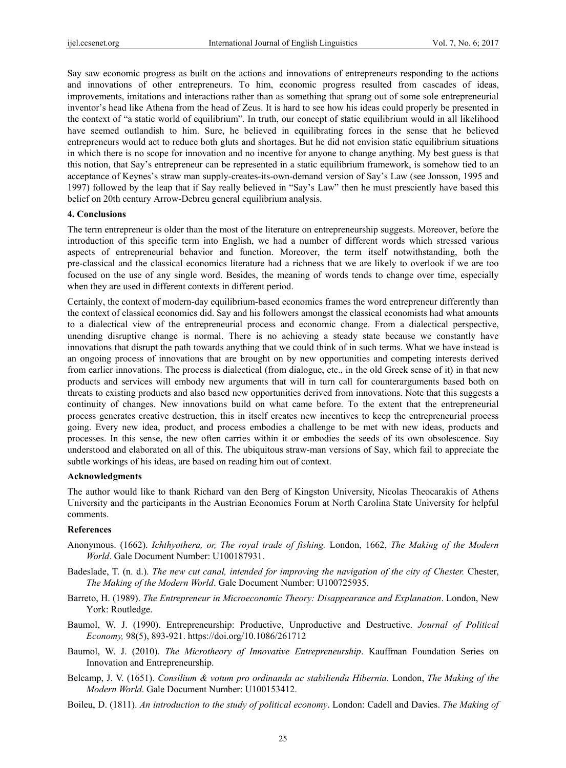Say saw economic progress as built on the actions and innovations of entrepreneurs responding to the actions and innovations of other entrepreneurs. To him, economic progress resulted from cascades of ideas, improvements, imitations and interactions rather than as something that sprang out of some sole entrepreneurial inventor's head like Athena from the head of Zeus. It is hard to see how his ideas could properly be presented in the context of "a static world of equilibrium". In truth, our concept of static equilibrium would in all likelihood have seemed outlandish to him. Sure, he believed in equilibrating forces in the sense that he believed entrepreneurs would act to reduce both gluts and shortages. But he did not envision static equilibrium situations in which there is no scope for innovation and no incentive for anyone to change anything. My best guess is that this notion, that Say's entrepreneur can be represented in a static equilibrium framework, is somehow tied to an acceptance of Keynes's straw man supply-creates-its-own-demand version of Say's Law (see Jonsson, 1995 and 1997) followed by the leap that if Say really believed in "Say's Law" then he must presciently have based this belief on 20th century Arrow-Debreu general equilibrium analysis.

#### **4. Conclusions**

The term entrepreneur is older than the most of the literature on entrepreneurship suggests. Moreover, before the introduction of this specific term into English, we had a number of different words which stressed various aspects of entrepreneurial behavior and function. Moreover, the term itself notwithstanding, both the pre-classical and the classical economics literature had a richness that we are likely to overlook if we are too focused on the use of any single word. Besides, the meaning of words tends to change over time, especially when they are used in different contexts in different period.

Certainly, the context of modern-day equilibrium-based economics frames the word entrepreneur differently than the context of classical economics did. Say and his followers amongst the classical economists had what amounts to a dialectical view of the entrepreneurial process and economic change. From a dialectical perspective, unending disruptive change is normal. There is no achieving a steady state because we constantly have innovations that disrupt the path towards anything that we could think of in such terms. What we have instead is an ongoing process of innovations that are brought on by new opportunities and competing interests derived from earlier innovations. The process is dialectical (from dialogue, etc., in the old Greek sense of it) in that new products and services will embody new arguments that will in turn call for counterarguments based both on threats to existing products and also based new opportunities derived from innovations. Note that this suggests a continuity of changes. New innovations build on what came before. To the extent that the entrepreneurial process generates creative destruction, this in itself creates new incentives to keep the entrepreneurial process going. Every new idea, product, and process embodies a challenge to be met with new ideas, products and processes. In this sense, the new often carries within it or embodies the seeds of its own obsolescence. Say understood and elaborated on all of this. The ubiquitous straw-man versions of Say, which fail to appreciate the subtle workings of his ideas, are based on reading him out of context.

# **Acknowledgments**

The author would like to thank Richard van den Berg of Kingston University, Nicolas Theocarakis of Athens University and the participants in the Austrian Economics Forum at North Carolina State University for helpful comments.

### **References**

- Anonymous. (1662). *Ichthyothera, or, The royal trade of fishing.* London, 1662, *The Making of the Modern World*. Gale Document Number: U100187931.
- Badeslade, T. (n. d.). *The new cut canal, intended for improving the navigation of the city of Chester.* Chester, *The Making of the Modern World*. Gale Document Number: U100725935.
- Barreto, H. (1989). *The Entrepreneur in Microeconomic Theory: Disappearance and Explanation*. London, New York: Routledge.
- Baumol, W. J. (1990). Entrepreneurship: Productive, Unproductive and Destructive. *Journal of Political Economy,* 98(5), 893-921. https://doi.org/10.1086/261712
- Baumol, W. J. (2010). *The Microtheory of Innovative Entrepreneurship*. Kauffman Foundation Series on Innovation and Entrepreneurship.
- Belcamp, J. V. (1651). *Consilium & votum pro ordinanda ac stabilienda Hibernia.* London, *The Making of the Modern World*. Gale Document Number: U100153412.
- Boileu, D. (1811). *An introduction to the study of political economy*. London: Cadell and Davies. *The Making of*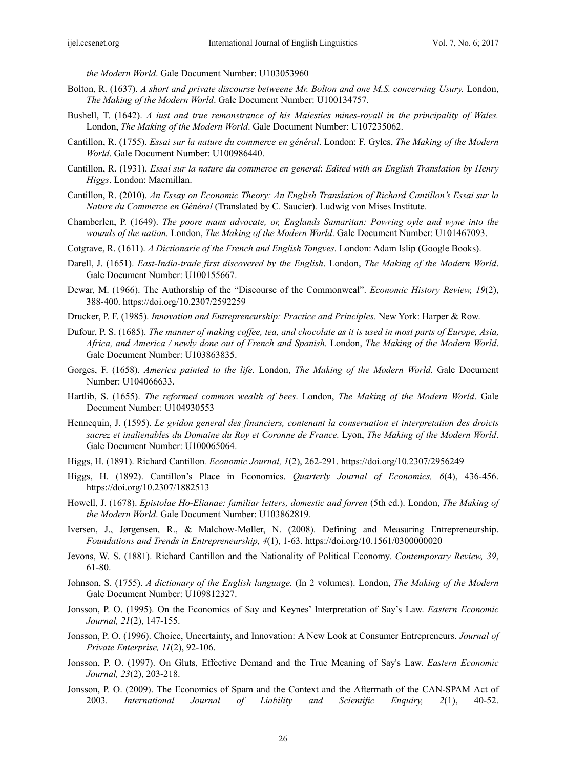*the Modern World*. Gale Document Number: U103053960

- Bolton, R. (1637). *A short and private discourse betweene Mr. Bolton and one M.S. concerning Usury.* London, *The Making of the Modern World*. Gale Document Number: U100134757.
- Bushell, T. (1642). *A iust and true remonstrance of his Maiesties mines-royall in the principality of Wales.*  London, *The Making of the Modern World*. Gale Document Number: U107235062.
- Cantillon, R. (1755). *Essai sur la nature du commerce en général*. London: F. Gyles, *The Making of the Modern World*. Gale Document Number: U100986440.
- Cantillon, R. (1931). *Essai sur la nature du commerce en general*: *Edited with an English Translation by Henry Higgs*. London: Macmillan.
- Cantillon, R. (2010). *An Essay on Economic Theory: An English Translation of Richard Cantillon's Essai sur la Nature du Commerce en Général* (Translated by C. Saucier). Ludwig von Mises Institute.
- Chamberlen, P. (1649). *The poore mans advocate, or, Englands Samaritan: Powring oyle and wyne into the wounds of the nation.* London, *The Making of the Modern World*. Gale Document Number: U101467093.
- Cotgrave, R. (1611). *A Dictionarie of the French and English Tongves*. London: Adam Islip (Google Books).
- Darell, J. (1651). *East-India-trade first discovered by the English*. London, *The Making of the Modern World*. Gale Document Number: U100155667.
- Dewar, M. (1966). The Authorship of the "Discourse of the Commonweal". *Economic History Review, 19*(2), 388-400. https://doi.org/10.2307/2592259
- Drucker, P. F. (1985). *Innovation and Entrepreneurship: Practice and Principles*. New York: Harper & Row.
- Dufour, P. S. (1685). *The manner of making coffee, tea, and chocolate as it is used in most parts of Europe, Asia, Africa, and America / newly done out of French and Spanish.* London, *The Making of the Modern World*. Gale Document Number: U103863835.
- Gorges, F. (1658). *America painted to the life*. London, *The Making of the Modern World*. Gale Document Number: U104066633.
- Hartlib, S. (1655). *The reformed common wealth of bees*. London, *The Making of the Modern World*. Gale Document Number: U104930553
- Hennequin, J. (1595). *Le gvidon general des financiers, contenant la conseruation et interpretation des droicts sacrez et inalienables du Domaine du Roy et Coronne de France.* Lyon, *The Making of the Modern World*. Gale Document Number: U100065064.
- Higgs, H. (1891). Richard Cantillon*. Economic Journal, 1*(2), 262-291. https://doi.org/10.2307/2956249
- Higgs, H. (1892). Cantillon's Place in Economics. *Quarterly Journal of Economics, 6*(4), 436-456. https://doi.org/10.2307/1882513
- Howell, J. (1678). *Epistolae Ho-Elianae: familiar letters, domestic and forren* (5th ed.). London, *The Making of the Modern World*. Gale Document Number: U103862819.
- Iversen, J., Jørgensen, R., & Malchow-Møller, N. (2008). Defining and Measuring Entrepreneurship. *Foundations and Trends in Entrepreneurship, 4*(1), 1-63. https://doi.org/10.1561/0300000020
- Jevons, W. S. (1881). Richard Cantillon and the Nationality of Political Economy. *Contemporary Review, 39*, 61-80.
- Johnson, S. (1755). *A dictionary of the English language.* (In 2 volumes). London, *The Making of the Modern*  Gale Document Number: U109812327.
- Jonsson, P. O. (1995). On the Economics of Say and Keynes' Interpretation of Say's Law. *Eastern Economic Journal, 21*(2), 147-155.
- Jonsson, P. O. (1996). Choice, Uncertainty, and Innovation: A New Look at Consumer Entrepreneurs. *Journal of Private Enterprise, 11*(2), 92-106.
- Jonsson, P. O. (1997). On Gluts, Effective Demand and the True Meaning of Say's Law. *Eastern Economic Journal, 23*(2), 203-218.
- Jonsson, P. O. (2009). The Economics of Spam and the Context and the Aftermath of the CAN-SPAM Act of 2003. *International Journal of Liability and Scientific Enquiry, 2*(1), 40-52.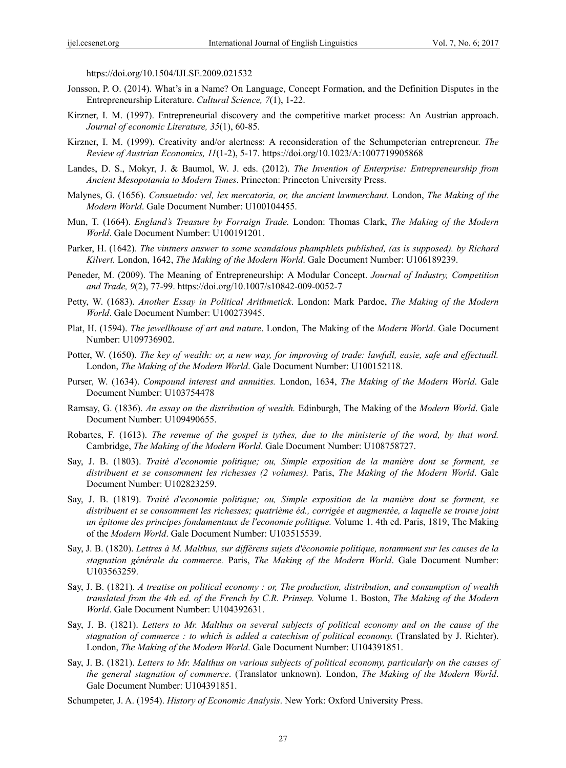https://doi.org/10.1504/IJLSE.2009.021532

- Jonsson, P. O. (2014). What's in a Name? On Language, Concept Formation, and the Definition Disputes in the Entrepreneurship Literature. *Cultural Science, 7*(1), 1-22.
- Kirzner, I. M. (1997). Entrepreneurial discovery and the competitive market process: An Austrian approach. *Journal of economic Literature, 35*(1), 60-85.
- Kirzner, I. M. (1999). Creativity and/or alertness: A reconsideration of the Schumpeterian entrepreneur. *The Review of Austrian Economics, 11*(1-2), 5-17. https://doi.org/10.1023/A:1007719905868
- Landes, D. S., Mokyr, J. & Baumol, W. J. eds. (2012). *The Invention of Enterprise: Entrepreneurship from Ancient Mesopotamia to Modern Times*. Princeton: Princeton University Press.
- Malynes, G. (1656). *Consuetudo: vel, lex mercatoria, or, the ancient lawmerchant.* London, *The Making of the Modern World*. Gale Document Number: U100104455.
- Mun, T. (1664). *England's Treasure by Forraign Trade.* London: Thomas Clark, *The Making of the Modern World*. Gale Document Number: U100191201.
- Parker, H. (1642). *The vintners answer to some scandalous phamphlets published, (as is supposed). by Richard Kilvert.* London, 1642, *The Making of the Modern World*. Gale Document Number: U106189239.
- Peneder, M. (2009). The Meaning of Entrepreneurship: A Modular Concept. *Journal of Industry, Competition and Trade, 9*(2), 77-99. https://doi.org/10.1007/s10842-009-0052-7
- Petty, W. (1683). *Another Essay in Political Arithmetick*. London: Mark Pardoe, *The Making of the Modern World*. Gale Document Number: U100273945.
- Plat, H. (1594). *The jewellhouse of art and nature*. London, The Making of the *Modern World*. Gale Document Number: U109736902.
- Potter, W. (1650). *The key of wealth: or, a new way, for improving of trade: lawfull, easie, safe and effectuall.* London, *The Making of the Modern World*. Gale Document Number: U100152118.
- Purser, W. (1634). *Compound interest and annuities.* London, 1634, *The Making of the Modern World*. Gale Document Number: U103754478
- Ramsay, G. (1836). *An essay on the distribution of wealth.* Edinburgh, The Making of the *Modern World*. Gale Document Number: U109490655.
- Robartes, F. (1613). *The revenue of the gospel is tythes, due to the ministerie of the word, by that word.* Cambridge, *The Making of the Modern World*. Gale Document Number: U108758727.
- Say, J. B. (1803). *Traité d'economie politique; ou, Simple exposition de la manière dont se forment, se distribuent et se consomment les richesses (2 volumes).* Paris, *The Making of the Modern World*. Gale Document Number: U102823259.
- Say, J. B. (1819). *Traité d'economie politique; ou, Simple exposition de la manière dont se forment, se distribuent et se consomment les richesses; quatrième éd., corrigée et augmentée, a laquelle se trouve joint un épitome des principes fondamentaux de l'economie politique.* Volume 1. 4th ed. Paris, 1819, The Making of the *Modern World*. Gale Document Number: U103515539.
- Say, J. B. (1820). *Lettres à M. Malthus, sur différens sujets d'économie politique, notamment sur les causes de la stagnation générale du commerce.* Paris, *The Making of the Modern World*. Gale Document Number: U103563259.
- Say, J. B. (1821). *A treatise on political economy : or, The production, distribution, and consumption of wealth translated from the 4th ed. of the French by C.R. Prinsep.* Volume 1. Boston, *The Making of the Modern World*. Gale Document Number: U104392631.
- Say, J. B. (1821). *Letters to Mr. Malthus on several subjects of political economy and on the cause of the stagnation of commerce : to which is added a catechism of political economy.* (Translated by J. Richter). London, *The Making of the Modern World*. Gale Document Number: U104391851.
- Say, J. B. (1821). *Letters to Mr. Malthus on various subjects of political economy, particularly on the causes of the general stagnation of commerce*. (Translator unknown). London, *The Making of the Modern World*. Gale Document Number: U104391851.
- Schumpeter, J. A. (1954). *History of Economic Analysis*. New York: Oxford University Press.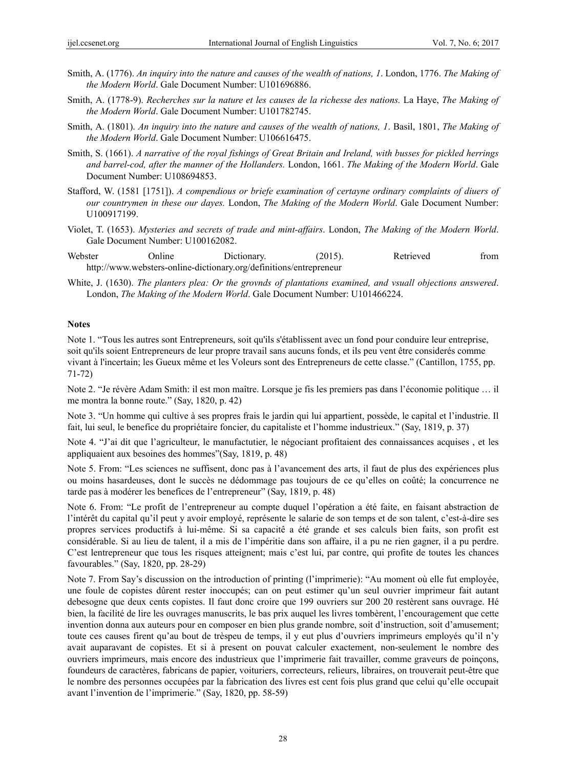- Smith, A. (1776). *An inquiry into the nature and causes of the wealth of nations, 1*. London, 1776. *The Making of the Modern World*. Gale Document Number: U101696886.
- Smith, A. (1778-9). *Recherches sur la nature et les causes de la richesse des nations.* La Haye, *The Making of the Modern World*. Gale Document Number: U101782745.
- Smith, A. (1801). *An inquiry into the nature and causes of the wealth of nations, 1*. Basil, 1801, *The Making of the Modern World*. Gale Document Number: U106616475.
- Smith, S. (1661). *A narrative of the royal fishings of Great Britain and Ireland, with busses for pickled herrings and barrel-cod, after the manner of the Hollanders.* London, 1661. *The Making of the Modern World*. Gale Document Number: U108694853.
- Stafford, W. (1581 [1751]). *A compendious or briefe examination of certayne ordinary complaints of diuers of our countrymen in these our dayes.* London, *The Making of the Modern World*. Gale Document Number: U100917199.
- Violet, T. (1653). *Mysteries and secrets of trade and mint-affairs*. London, *The Making of the Modern World*. Gale Document Number: U100162082.
- Webster **Online** Dictionary. (2015). Retrieved from http://www.websters-online-dictionary.org/definitions/entrepreneur
- White, J. (1630). *The planters plea: Or the grovnds of plantations examined, and vsuall objections answered*. London, *The Making of the Modern World*. Gale Document Number: U101466224.

#### **Notes**

Note 1. "Tous les autres sont Entrepreneurs, soit qu'ils s'établissent avec un fond pour conduire leur entreprise, soit qu'ils soient Entrepreneurs de leur propre travail sans aucuns fonds, et ils peu vent être considerés comme vivant à l'incertain; les Gueux même et les Voleurs sont des Entrepreneurs de cette classe." (Cantillon, 1755, pp. 71-72)

Note 2. "Je révère Adam Smith: il est mon maître. Lorsque je fis les premiers pas dans l'économie politique … il me montra la bonne route." (Say, 1820, p. 42)

Note 3. "Un homme qui cultive à ses propres frais le jardin qui lui appartient, possède, le capital et l'industrie. Il fait, lui seul, le benefice du propriétaire foncier, du capitaliste et l'homme industrieux." (Say, 1819, p. 37)

Note 4. "J'ai dit que l'agriculteur, le manufactutier, le négociant profitaient des connaissances acquises , et les appliquaient aux besoines des hommes"(Say, 1819, p. 48)

Note 5. From: "Les sciences ne suffisent, donc pas à l'avancement des arts, il faut de plus des expériences plus ou moins hasardeuses, dont le succès ne dédommage pas toujours de ce qu'elles on coûté; la concurrence ne tarde pas à modérer les benefices de l'entrepreneur" (Say, 1819, p. 48)

Note 6. From: "Le profit de l'entrepreneur au compte duquel l'opération a été faite, en faisant abstraction de l'intérêt du capital qu'il peut y avoir employé, représente le salarie de son temps et de son talent, c'est-à-dire ses propres services productifs à lui-même. Si sa capacitê a été grande et ses calculs bien faits, son profit est considérable. Si au lieu de talent, il a mis de l'impéritie dans son affaire, il a pu ne rien gagner, il a pu perdre. C'est lentrepreneur que tous les risques atteignent; mais c'est lui, par contre, qui profite de toutes les chances favourables." (Say, 1820, pp. 28-29)

Note 7. From Say's discussion on the introduction of printing (l'imprimerie): "Au moment où elle fut employée, une foule de copistes dûrent rester inoccupés; can on peut estimer qu'un seul ouvrier imprimeur fait autant debesogne que deux cents copistes. Il faut donc croire que 199 ouvriers sur 200 20 restèrent sans ouvrage. Hé bien, la facilité de lire les ouvrages manuscrits, le bas prix auquel les livres tombèrent, l'encouragement que cette invention donna aux auteurs pour en composer en bien plus grande nombre, soit d'instruction, soit d'amusement; toute ces causes firent qu'au bout de trèspeu de temps, il y eut plus d'ouvriers imprimeurs employés qu'il n'y avait auparavant de copistes. Et si à present on pouvat calculer exactement, non-seulement le nombre des ouvriers imprimeurs, mais encore des industrieux que l'imprimerie fait travailler, comme graveurs de poinçons, foundeurs de caractères, fabricans de papier, voituriers, correcteurs, relieurs, libraires, on trouverait peut-être que le nombre des personnes occupées par la fabrication des livres est cent fois plus grand que celui qu'elle occupait avant l'invention de l'imprimerie." (Say, 1820, pp. 58-59)